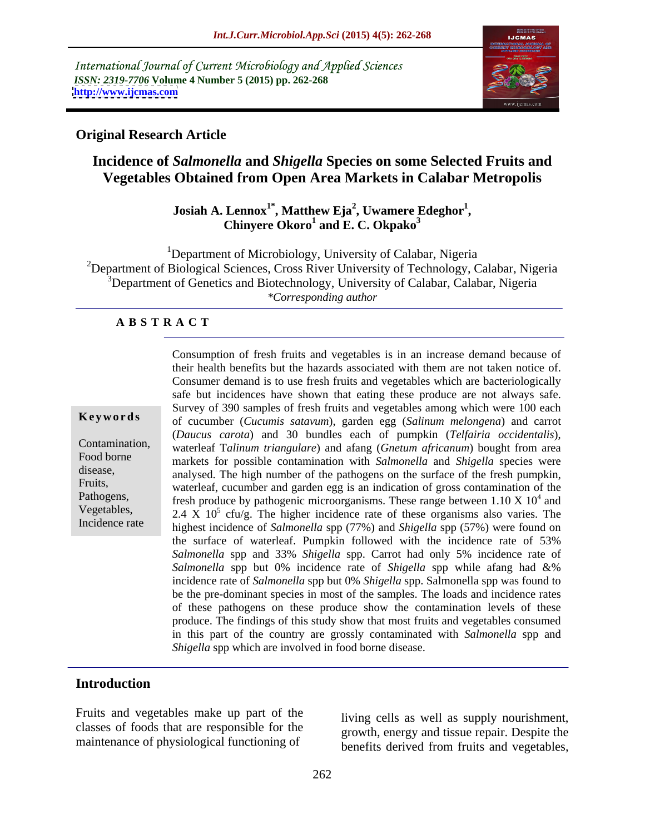International Journal of Current Microbiology and Applied Sciences *ISSN: 2319-7706* **Volume 4 Number 5 (2015) pp. 262-268 <http://www.ijcmas.com>**



### **Original Research Article**

# **Incidence of** *Salmonella* **and** *Shigella* **Species on some Selected Fruits and Vegetables Obtained from Open Area Markets in Calabar Metropolis**

#### **Josiah A. Lennox1\* , Matthew Eja<sup>2</sup> , Uwamere Edeghor<sup>1</sup>** Lennox<sup>1</sup><sup>\*</sup>, Matthew Eja<sup>2</sup>, Uwamere Edeghor<sup>1</sup>,<br>Chinyere Okoro<sup>1</sup> and E. C. Okpako<sup>3</sup> **and E. C. Okpako<sup>3</sup>**

<sup>1</sup>Department of Microbiology, University of Calabar, Nigeria <sup>2</sup>Department of Biological Sciences, Cross River University of Technology, Calabar, Nigeria 3Department of Genetics and Biotechnology, University of Calabar, Calabar, Nigeria *\*Corresponding author*

#### **A B S T R A C T**

Incidence rate

Consumption of fresh fruits and vegetables is in an increase demand because of their health benefits but the hazards associated with them are not taken notice of. Consumer demand is to use fresh fruits and vegetables which are bacteriologically safe but incidences have shown that eating these produce are not always safe. Survey of 390 samples of fresh fruits and vegetables among which were 100 each **Keywords** of cucumber (*Cucumis satavum*), garden egg (*Salinum melongena*) and carrot (*Daucus carota*) and 30 bundles each of pumpkin (*Telfairia occidentalis*), waterleaf T*alinum triangulare*) and afang (*Gnetum africanum*) bought from area Contamination, Food borne<br>markets for possible contamination with *Salmonella* and *Shigella* species were disease,<br>analysed. The high number of the pathogens on the surface of the fresh pumpkin, Fruits,<br>waterleaf, cucumber and garden egg is an indication of gross contamination of the Pathogens, fresh produce by pathogenic microorganisms. These range between 1.10 X 10<sup>4</sup> and  $^{4}$  and and Vegetables,  $2.4 \times 10^5$  cfu/g. The higher incidence rate of these organisms also varies. The highest incidence of *Salmonella* spp (77%) and *Shigella* spp (57%) were found on the surface of waterleaf. Pumpkin followed with the incidence rate of 53% *Salmonella* spp and 33% *Shigella* spp. Carrot had only 5% incidence rate of *Salmonella* spp but 0% incidence rate of *Shigella* spp while afang had &% incidence rate of *Salmonella* spp but 0% *Shigella* spp. Salmonella spp was found to be the pre-dominant species in most of the samples. The loads and incidence rates of these pathogens on these produce show the contamination levels of these produce. The findings of this study show that most fruits and vegetables consumed in this part of the country are grossly contaminated with *Salmonella* spp and *Shigella* spp which are involved in food borne disease.

#### **Introduction**

Fruits and vegetables make up part of the classes of foods that are responsible for the maintenance of physiological functioning of

living cells as well as supply nourishment, growth, energy and tissue repair. Despite the benefits derived from fruits and vegetables,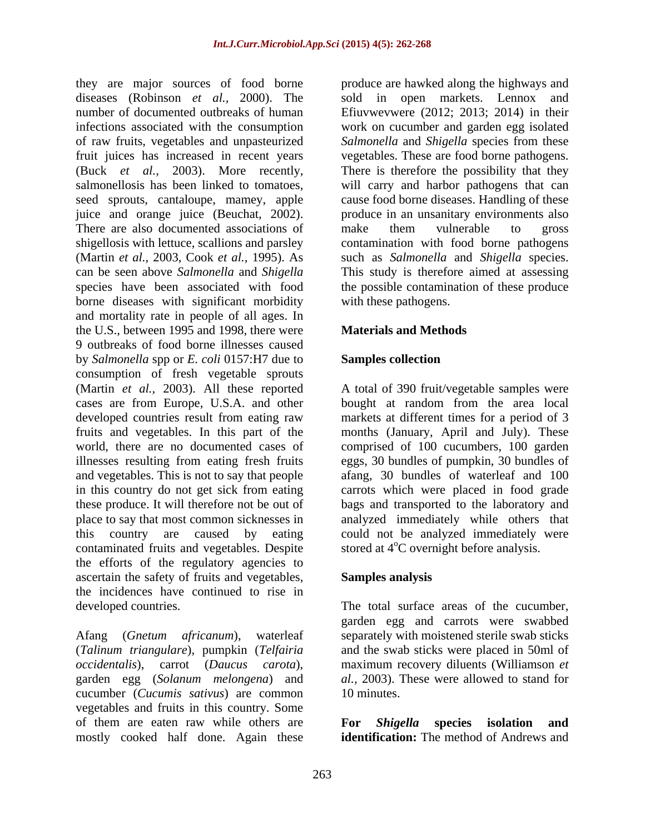they are major sources of food borne produce are hawked along the highways and diseases (Robinson *et al.,* 2000). The sold in open markets. Lennox and number of documented outbreaks of human Efiuvwevwere (2012; 2013; 2014) in their infections associated with the consumption work on cucumber and garden egg isolated of raw fruits, vegetables and unpasteurized *Salmonella* and *Shigella* species from these fruit juices has increased in recent years (Buck *et al.,* 2003). More recently, There is therefore the possibility that they salmonellosis has been linked to tomatoes, will carry and harbor pathogens that can seed sprouts, cantaloupe, mamey, apple cause food borne diseases. Handling of these juice and orange juice (Beuchat, 2002). There are also documented associations of make them vulnerable to gross shigellosis with lettuce, scallions and parsley contamination with food borne pathogens (Martin *et al.,* 2003, Cook *et al.,* 1995). As such as *Salmonella* and *Shigella* species. can be seen above *Salmonella* and *Shigella* This study is therefore aimed at assessing species have been associated with food the possible contamination of these produce borne diseases with significant morbidity and mortality rate in people of all ages. In the U.S., between 1995 and 1998, there were 9 outbreaks of food borne illnesses caused by *Salmonella* spp or *E. coli* 0157:H7 due to **Samples collection** consumption of fresh vegetable sprouts (Martin *et al.,* 2003). All these reported A total of 390 fruit/vegetable samples were cases are from Europe, U.S.A. and other bought at random from the area local developed countries result from eating raw markets at different times for a period of 3 fruits and vegetables. In this part of the months (January, April and July). These world, there are no documented cases of comprised of 100 cucumbers, 100 garden illnesses resulting from eating fresh fruits eggs, 30 bundles of pumpkin, 30 bundles of and vegetables. This is not to say that people afang, 30 bundles of waterleaf and 100 in this country do not get sick from eating carrots which were placed in food grade these produce. It will therefore not be out of bags and transported to the laboratory and place to say that most common sicknesses in analyzed immediately while others that this country are caused by eating could not be analyzed immediately were contaminated fruits and vegetables. Despite the efforts of the regulatory agencies to ascertain the safety of fruits and vegetables, the incidences have continued to rise in

(*Talinum triangulare*), pumpkin (*Telfairia*  garden egg (*Solanum melongena*) and cucumber (*Cucumis sativus*) are common vegetables and fruits in this country. Some of them are eaten raw while others are **For Shigella species isolation and** mostly cooked half done. Again these

vegetables. These are food borne pathogens. produce in an unsanitary environments also make them vulnerable to gross with these pathogens.

### **Materials and Methods**

#### **Samples collection**

stored at  $4^{\circ}$ C overnight before analysis.

### **Samples analysis**

developed countries. The total surface areas of the cucumber, Afang (*Gnetum africanum*), waterleaf separately with moistened sterile swab sticks *occidentalis*), carrot (*Daucus carota*), maximum recovery diluents (Williamson *et*  garden egg and carrots were swabbed and the swab sticks were placed in 50ml of *al.,* 2003). These were allowed to stand for 10 minutes.

> **For** *Shigella* **species isolation and identification:** The method of Andrews and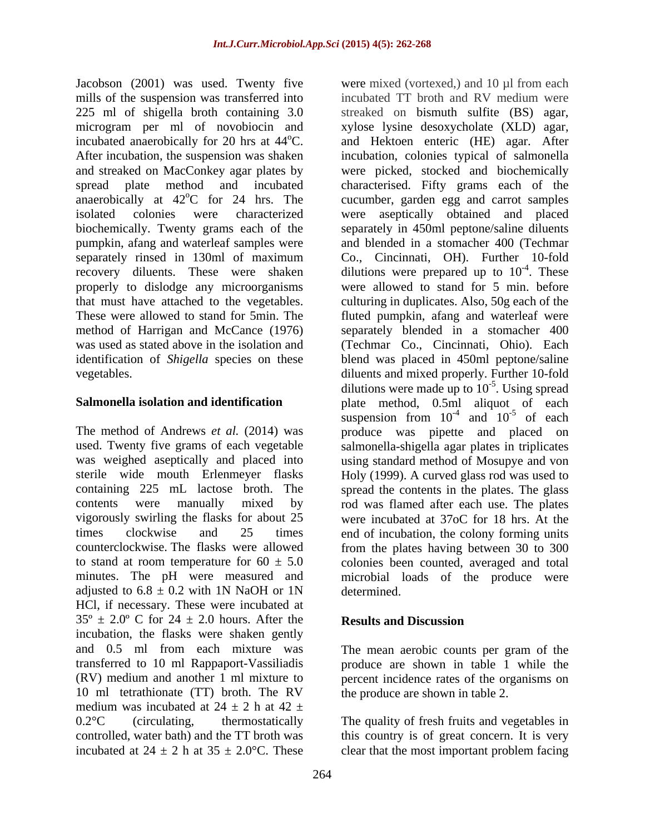Jacobson (2001) was used. Twenty five were mixed (vortexed,) and 10 µl from each 225 ml of shigella broth containing 3.0 streaked on bismuth sulfite (BS) agar, microgram per ml of novobiocin and xylose lysine desoxycholate (XLD) agar, biochemically. Twenty grams each of the pumpkin, afang and waterleaf samples were properly to dislodge any microorganisms

adjusted to  $6.8 \pm 0.2$  with 1N NaOH or 1N determined. HCl, if necessary. These were incubated at  $35^{\circ} \pm 2.0^{\circ}$  C for  $24 \pm 2.0$  hours. After the **Results and Discussion** incubation, the flasks were shaken gently and 0.5 ml from each mixture was The mean aerobic counts per gram of the transferred to 10 ml Rappaport-Vassiliadis produce are shown in table 1 while the (RV) medium and another 1 ml mixture to percent incidence rates of the organisms on 10 ml tetrathionate (TT) broth. The RV medium was incubated at  $24 \pm 2$  h at  $42 \pm 2$ 0.2 °C (circulating, thermostatically The quality of fresh fruits and vegetables in controlled, water bath) and the TT broth was this country is of great concern. It is very incubated at  $24 \pm 2$  h at  $35 \pm 2.0$ °C. These clear that the most important problem facing

mills of the suspension was transferred into incubated TT broth and RV medium were incubated anaerobically for 20 hrs at 44<sup>o</sup>C. and Hektoen enteric (HE) agar. After After incubation, the suspension was shaken incubation, colonies typical of salmonella and streaked on MacConkey agar plates by were picked, stocked and biochemically spread plate method and incubated characterised. Fifty grams each of the anaerobically at  $42^{\circ}$ C for 24 hrs. The cucumber, garden egg and carrot samples isolated colonies were characterized were aseptically obtained and placed separately rinsed in 130ml of maximum Co., Cincinnati, OH). Further 10-fold recovery diluents. These were shaken dilutions were prepared up to  $10^{-4}$ . These that must have attached to the vegetables. culturing in duplicates. Also, 50g each of the These were allowed to stand for 5min. The fluted pumpkin, afang and waterleaf were method of Harrigan and McCance (1976) separately blended in a stomacher 400 was used as stated above in the isolation and (Techmar Co., Cincinnati, Ohio). Each identification of *Shigella* species on these blend was placed in 450ml peptone/saline vegetables. diluents and mixed properly. Further 10-fold **Salmonella isolation and identification** plate method, 0.5ml aliquot of each The method of Andrews *et al.* (2014) was produce was pipette and placed on used. Twenty five grams of each vegetable salmonella-shigella agar plates in triplicates was weighed aseptically and placed into using standard method of Mosupye and von sterile wide mouth Erlenmeyer flasks Holy (1999). A curved glass rod was used to containing 225 mL lactose broth. The spread the contents in the plates. The glass contents were manually mixed by rod was flamed after each use. The plates vigorously swirling the flasks for about 25 were incubated at 37oC for 18 hrs. At the times clockwise and 25 times end of incubation, the colony forming units counterclockwise. The flasks were allowed from the plates having between 30 to 300 to stand at room temperature for  $60 \pm 5.0$  colonies been counted, averaged and total minutes. The pH were measured and microbial loads of the produce were streaked on bismuth sulfite (BS) agar, xylose lysine desoxycholate (XLD) agar, and Hektoen enteric (HE) agar. After separately in 450ml peptone/saline diluents and blended in a stomacher 400 (Techmar Co., Cincinnati, OH). Further 10-fold  $-4$  These . These were allowed to stand for 5 min. before dilutions were made up to  $10^{-5}$ . Using spread suspension from  $10^{-4}$  and  $10^{-5}$  of each and  $10^{-5}$  of each  $-5$  of each of each determined.

### **Results and Discussion**

the produce are shown in table 2.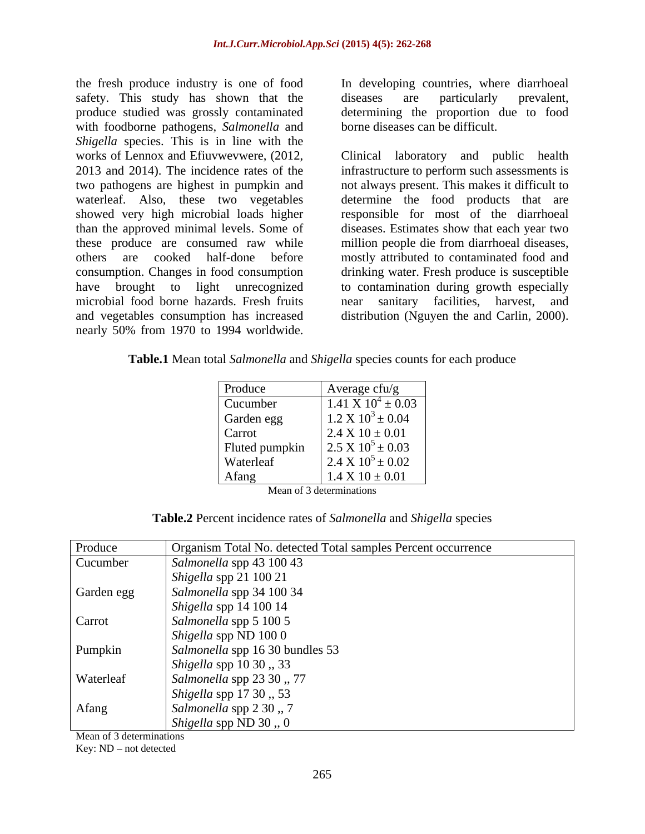the fresh produce industry is one of food safety. This study has shown that the diseases are particularly prevalent, produce studied was grossly contaminated with foodborne pathogens, *Salmonella* and *Shigella* species. This is in line with the microbial food borne hazards. Fresh fruits and mear sanitary facilities, harvest, and the fresh produce industry is one of food<br>
sarely. This study has shown that the disseass are particularly prevalent,<br>
sproduce studied was grossly contaminated determining the proportion due to food<br>
with foodborne pathog

diseases are particularly prevalent, determining the proportion due to food borne diseases can be difficult.

works of Lennox and Efiuvwevwere, (2012, Clinical laboratory and public health 2013 and 2014). The incidence rates of the infrastructure to perform such assessments is two pathogens are highest in pumpkin and not always present. This makes it difficult to waterleaf. Also, these two vegetables determine the food products that are showed very high microbial loads higher responsible for most of the diarrhoeal than the approved minimal levels. Some of diseases. Estimates show that each year two these produce are consumed raw while million people die from diarrhoeal diseases, others are cooked half-done before mostly attributed to contaminated food and consumption. Changes in food consumption drinking water. Fresh produce is susceptible have brought to light unrecognized to contamination during growth especially and vegetables consumption has increased distribution (Nguyen the and Carlin, 2000). sanitary facilities, harvest,

**Table.1** Mean total *Salmonella* and *Shigella* species counts for each produce

| Produce        | Average cfu/g                  |
|----------------|--------------------------------|
| Cucumber       | $1.41 \times 10^4 \pm 0.03$    |
| Garden egg     | $1.2 \text{ X } 10^3 \pm 0.04$ |
| Carrot         | $2.4 \times 10 \pm 0.01$       |
| Fluted pumpkin | $2.5 \times 10^5 \pm 0.03$     |
| Waterleaf      | $2.4 \text{ X } 10^5 \pm 0.02$ |
| Afang          | $1.4 X 10 \pm 0.01$            |

Mean of 3 determinations

**Table.2** Percent incidence rates of *Salmonella* and *Shigella* species

| Produce    | Organism Total No. detected Total samples Percent occurrence |
|------------|--------------------------------------------------------------|
| Cucumber   | Salmonella spp 43 100 43                                     |
|            | $\int$ <i>Shigella</i> spp 21 100 21                         |
| Garden egg | Salmonella spp 34 100 34                                     |
|            | $\int$ <i>Shigella</i> spp 14 100 14                         |
| Carrot     | Salmonella spp 5 100 5                                       |
|            | $\beta$ Shigella spp ND 100 0                                |
| Pumpkin    | Salmonella spp 16 30 bundles 53                              |
|            | $\vert$ <i>Shigella spp</i> 10 30 , 33                       |
| Waterleaf  | Salmonella spp 23 30, 77                                     |
|            | $\vert$ <i>Shigella spp</i> 17 30 , 53                       |
| Afang      | $\vert$ Salmonella spp 2 30 , 7                              |
|            | Shigella spp ND 30,, 0                                       |

Mean of 3 determinations Key: ND - not detected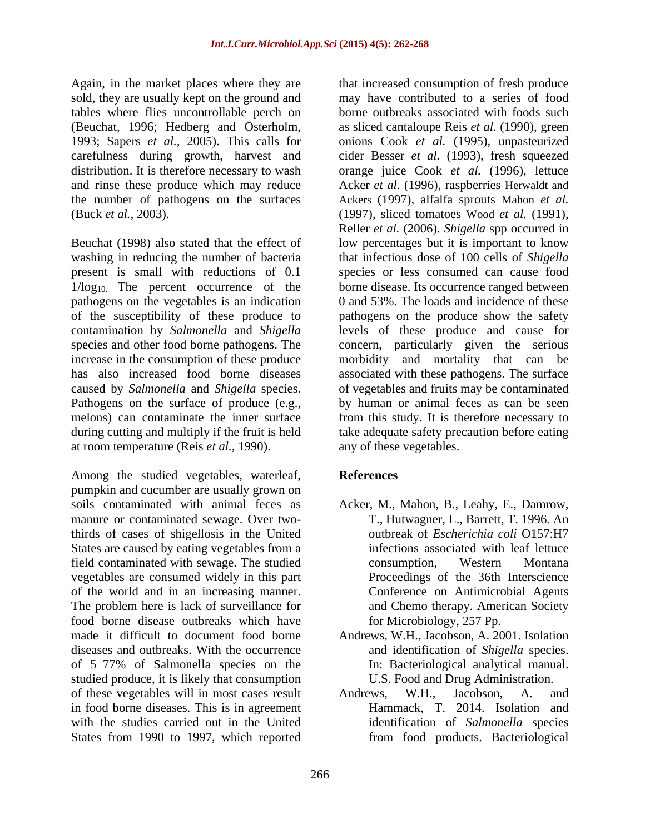Again, in the market places where they are that increased consumption of fresh produce sold, they are usually kept on the ground and

increase in the consumption of these produce morbidity and mortality that can be Pathogens on the surface of produce (e.g., at room temperature (Reis *et al.,* 1990).

Among the studied vegetables, waterleaf, References pumpkin and cucumber are usually grown on soils contaminated with animal feces as Acker, M., Mahon, B., Leahy, E., Damrow, manure or contaminated sewage. Over twothirds of cases of shigellosis in the United States are caused by eating vegetables from a field contaminated with sewage. The studied vegetables are consumed widely in this part of the world and in an increasing manner. The problem here is lack of surveillance for and Chemo therapy. American Society food borne disease outbreaks which have food borne disease outbreaks which have for Microbiology, 257 Pp.<br>made it difficult to document food borne Andrews, W.H., Jacobson, A. 2001. Isolation diseases and outbreaks. With the occurrence of 5–77% of Salmonella species on the studied produce, it is likely that consumption U.S. Food and Drug Administration. of these vegetables will in most cases result Andrews, W.H., Jacobson, A. and in food borne diseases. This is in agreement with the studies carried out in the United identification of *Salmonella* species States from 1990 to 1997, which reported

tables where flies uncontrollable perch on borne outbreaks associated with foods such (Beuchat, 1996; Hedberg and Osterholm, as sliced cantaloupe Reis *et al.* (1990), green 1993; Sapers *et al.,* 2005). This calls for onions Cook *et al.* (1995), unpasteurized carefulness during growth, harvest and cider Besser *et al.* (1993), fresh squeezed distribution. It is therefore necessary to wash orange juice Cook *et al.* (1996), lettuce and rinse these produce which may reduce Acker *et al.* (1996), raspberries Herwaldt and the number of pathogens on the surfaces Ackers (1997), alfalfa sprouts Mahon *et al.* (Buck *et al.,* 2003). (1997), sliced tomatoes Wood *et al.* (1991), Beuchat (1998) also stated that the effect of low percentages but it is important to know washing in reducing the number of bacteria that infectious dose of 100 cells of *Shigella* present is small with reductions of 0.1 species or less consumed can cause food 1/log<sub>10</sub>. The percent occurrence of the borne disease. Its occurrence ranged between pathogens on the vegetables is an indication 0 and 53%. The loads and incidence of these of the susceptibility of these produce to pathogens on the produce show the safety contamination by *Salmonella* and *Shigella* levels of these produce and cause for species and other food borne pathogens. The concern, particularly given the serious has also increased food borne diseases associated with these pathogens. The surface caused by *Salmonella* and *Shigella* species. of vegetables and fruits may be contaminated melons) can contaminate the inner surface from this study. It is therefore necessary to during cutting and multiply if the fruit is held take adequate safety precaution before eating may have contributed to a series of food Reller *et al.* (2006). *Shigella* spp occurred in morbidity and mortality that can be by human or animal feces as can be seen any of these vegetables.

## **References**

- T., Hutwagner, L., Barrett, T. 1996. An outbreak of *Escherichia coli* O157:H7 infections associated with leaf lettuce consumption, Western Montana Proceedings of the 36th Interscience Conference on Antimicrobial Agents
- and identification of *Shigella* species. In: Bacteriological analytical manual.
- Andrews, W.H., Jacobson, A. and Hammack, T. 2014. Isolation and from food products. Bacteriological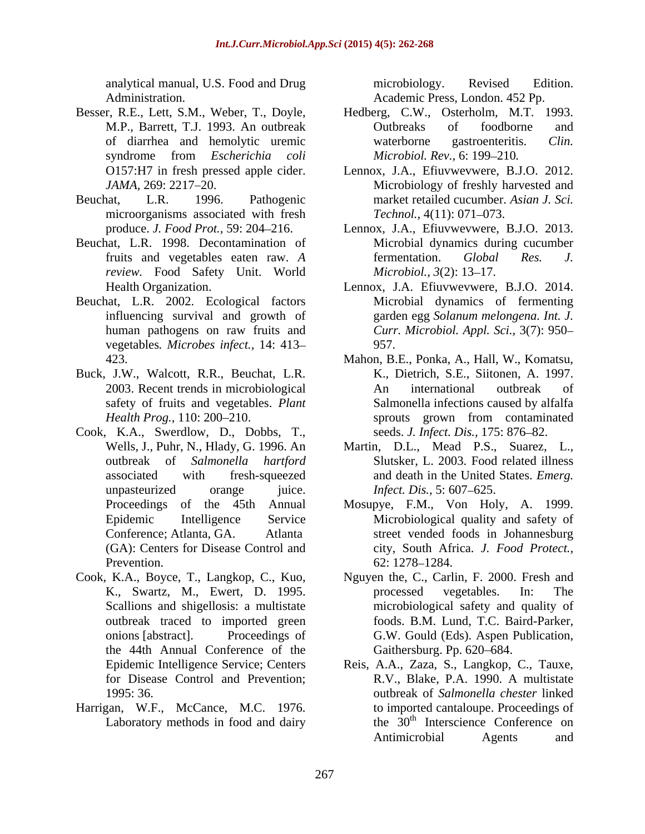- Besser, R.E., Lett, S.M., Weber, T., Doyle,
- microorganisms associated with fresh Technol., 4(11): 071–073.
- Beuchat, L.R. 1998. Decontamination of *review.* Food Safety Unit. World *Microbiol.*, 3(2): 13–17.
- Beuchat, L.R. 2002. Ecological factors vegetables*. Microbes infect.,* 14: 413
- Buck, J.W., Walcott, R.R., Beuchat, L.R.
- Cook, K.A., Swerdlow, D., Dobbs, T., unpasteurized orange juice. *Infect. Dis.*, 5:607–625. Prevention. 62: 1278–1284.
- the 44th Annual Conference of the
- Harrigan, W.F., McCance, M.C. 1976.

analytical manual, U.S. Food and Drug Administration. Academic Press, London. 452 Pp. microbiology. Revised Edition.

- M.P., Barrett, T.J. 1993. An outbreak butbreaks of foodborne and of diarrhea and hemolytic uremic waterborne gastroenteritis. Clin. syndrome from *Escherichia coli* Hedberg, C.W., Osterholm, M.T. 1993. Outbreaks of foodborne and waterborne gastroenteritis. *Clin. Microbiol. Rev., 6:* 199-210.
- O157:H7 in fresh pressed applecider. Lennox, J.A., Efiuvwevwere, B.J.O. 2012. *JAMA*, 269: 2217–20. Microbiology of freshly harvested and Beuchat, L.R. 1996. Pathogenic market retailed cucumber. *Asian J. Sci. Technol.,* 4(11): 071–073.
	- produce. *J. Food Prot.,* 59: 204 216. Lennox, J.A., Efiuvwevwere, B.J.O. 2013. fruits and vegetables eaten raw. *A*  Microbial dynamics during cucumber fermentation. *Global Res. J. Microbiol., 3*(2): 13–17.
	- Health Organization. Lennox, J.A. Efiuvwevwere, B.J.O. 2014. influencing survival and growth of garden egg *Solanum melongena. Int. J.* human pathogens on raw fruits and *Curr. Microbiol. Appl. Sci.,* 3(7): 950 Microbial dynamics of fermenting 957.
	- 423. Mahon, B.E., Ponka, A., Hall, W., Komatsu, 2003. Recent trends in microbiological safety of fruits and vegetables. *Plant*  Salmonella infections caused by alfalfa *Health Prog.*, 110: 200–210. sprouts grown from contaminated K., Dietrich, S.E., Siitonen, A. 1997. An international outbreak of sprouts grown from contaminated seeds. *J. Infect. Dis.*, 175: 876–82.
	- Wells, J., Puhr, N., Hlady, G. 1996. An Martin, D.L., Mead P.S., Suarez, L., outbreak of *Salmonella hartford* Slutsker, L. 2003. Food related illness associated with fresh-squeezed and death in the United States. *Emerg. Infect. Dis.,* 5: 607–625.
	- Proceedings of the 45th Annual Mosupye, F.M., Von Holy, A. 1999. Epidemic Intelligence Service Microbiological quality and safety of Conference; Atlanta, GA. Atlanta street vended foods in Johannesburg (GA): Centers for Disease Control and city, South Africa. *J. Food Protect.,* 62: 1278–1284.
- Cook, K.A., Boyce, T., Langkop, C., Kuo, Nguyen the, C., Carlin, F. 2000. Fresh and K., Swartz, M., Ewert, D. 1995. Scallions and shigellosis: a multistate microbiological safety and quality of outbreak traced to imported green foods. B.M. Lund, T.C. Baird-Parker, onions [abstract]. Proceedings of G.W. Gould (Eds). Aspen Publication, processed vegetables. In: The Gaithersburg. Pp. 620–684.
	- Epidemic Intelligence Service; Centers Reis, A.A., Zaza, S., Langkop, C., Tauxe, for Disease Control and Prevention: R.V., Blake, P.A. 1990. A multistate 1995: 36. outbreak of *Salmonella chester* linked Laboratory methods in food and dairy the  $30<sup>th</sup>$  Interscience Conference on R.V., Blake, P.A. 1990. A multistate to imported cantaloupe. Proceedings of Antimicrobial Agents and